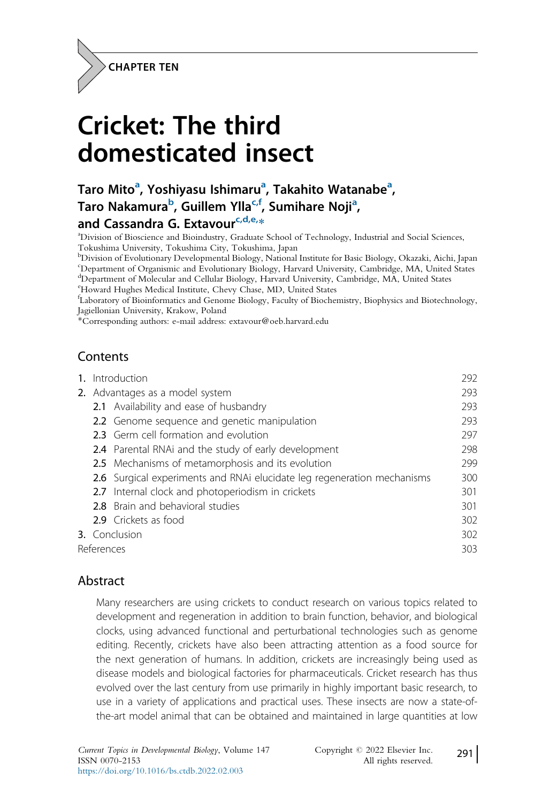

# Cricket: The third domesticated insect

# Taro Mito<sup>a</sup>, Yoshiyasu Ishimaru<sup>a</sup>, Takahito Watanabe<sup>a</sup>, Taro Nakamura<sup>b</sup>, Guillem Ylla<sup>c,f</sup>, Sumihare Noji<sup>a</sup>,

# and Cassandra G. Extavour<sup>c,d,e,</sup>\*

Division of Bioscience and Bioindustry, Graduate School of Technology, Industrial and Social Sciences, Tokushima University, Tokushima City, Tokushima, Japan

b Division of Evolutionary Developmental Biology, National Institute for Basic Biology, Okazaki, Aichi, Japan c Department of Organismic and Evolutionary Biology, Harvard University, Cambridge, MA, United States <sup>d</sup>Department of Molecular and Cellular Biology, Harvard University, Cambridge, MA, United States

e Howard Hughes Medical Institute, Chevy Chase, MD, United States

f Laboratory of Bioinformatics and Genome Biology, Faculty of Biochemistry, Biophysics and Biotechnology, Jagiellonian University, Krakow, Poland

\*Corresponding authors: e-mail address: extavour@oeb.harvard.edu

# Contents

| 1. Introduction                 |                                                                         | 292 |
|---------------------------------|-------------------------------------------------------------------------|-----|
| 2. Advantages as a model system |                                                                         | 293 |
|                                 | 2.1 Availability and ease of husbandry                                  | 293 |
|                                 | 2.2 Genome sequence and genetic manipulation                            | 293 |
|                                 | 2.3 Germ cell formation and evolution                                   | 297 |
|                                 | <b>2.4</b> Parental RNAi and the study of early development             | 298 |
|                                 | 2.5 Mechanisms of metamorphosis and its evolution                       | 299 |
|                                 | 2.6 Surgical experiments and RNAi elucidate leg regeneration mechanisms | 300 |
|                                 | 2.7 Internal clock and photoperiodism in crickets                       | 301 |
|                                 | <b>2.8</b> Brain and behavioral studies                                 | 301 |
|                                 | 2.9 Crickets as food                                                    | 302 |
| 3. Conclusion                   |                                                                         | 302 |
| References                      |                                                                         |     |
|                                 |                                                                         |     |

# Abstract

Many researchers are using crickets to conduct research on various topics related to development and regeneration in addition to brain function, behavior, and biological clocks, using advanced functional and perturbational technologies such as genome editing. Recently, crickets have also been attracting attention as a food source for the next generation of humans. In addition, crickets are increasingly being used as disease models and biological factories for pharmaceuticals. Cricket research has thus evolved over the last century from use primarily in highly important basic research, to use in a variety of applications and practical uses. These insects are now a state-ofthe-art model animal that can be obtained and maintained in large quantities at low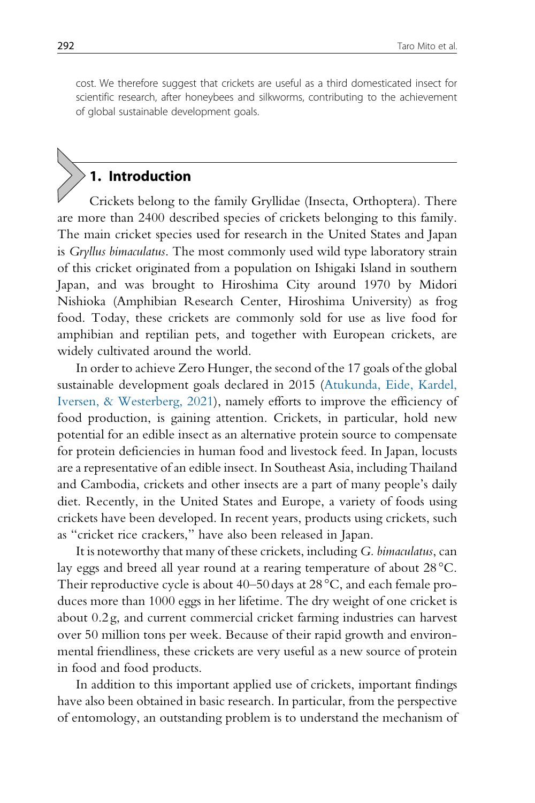cost. We therefore suggest that crickets are useful as a third domesticated insect for scientific research, after honeybees and silkworms, contributing to the achievement of global sustainable development goals.

# 1. Introduction

Crickets belong to the family Gryllidae (Insecta, Orthoptera). There are more than 2400 described species of crickets belonging to this family. The main cricket species used for research in the United States and Japan is Gryllus bimaculatus. The most commonly used wild type laboratory strain of this cricket originated from a population on Ishigaki Island in southern Japan, and was brought to Hiroshima City around 1970 by Midori Nishioka (Amphibian Research Center, Hiroshima University) as frog food. Today, these crickets are commonly sold for use as live food for amphibian and reptilian pets, and together with European crickets, are widely cultivated around the world.

In order to achieve Zero Hunger, the second of the 17 goals of the global sustainable development goals declared in 2015 (Atukunda, Eide, Kardel, Iversen, & Westerberg, 2021), namely efforts to improve the efficiency of food production, is gaining attention. Crickets, in particular, hold new potential for an edible insect as an alternative protein source to compensate for protein deficiencies in human food and livestock feed. In Japan, locusts are a representative of an edible insect. In Southeast Asia, including Thailand and Cambodia, crickets and other insects are a part of many people's daily diet. Recently, in the United States and Europe, a variety of foods using crickets have been developed. In recent years, products using crickets, such as "cricket rice crackers," have also been released in Japan.

It is noteworthy that many of these crickets, including G. bimaculatus, can lay eggs and breed all year round at a rearing temperature of about 28°C. Their reproductive cycle is about 40–50 days at 28°C, and each female produces more than 1000 eggs in her lifetime. The dry weight of one cricket is about 0.2 g, and current commercial cricket farming industries can harvest over 50 million tons per week. Because of their rapid growth and environmental friendliness, these crickets are very useful as a new source of protein in food and food products.

In addition to this important applied use of crickets, important findings have also been obtained in basic research. In particular, from the perspective of entomology, an outstanding problem is to understand the mechanism of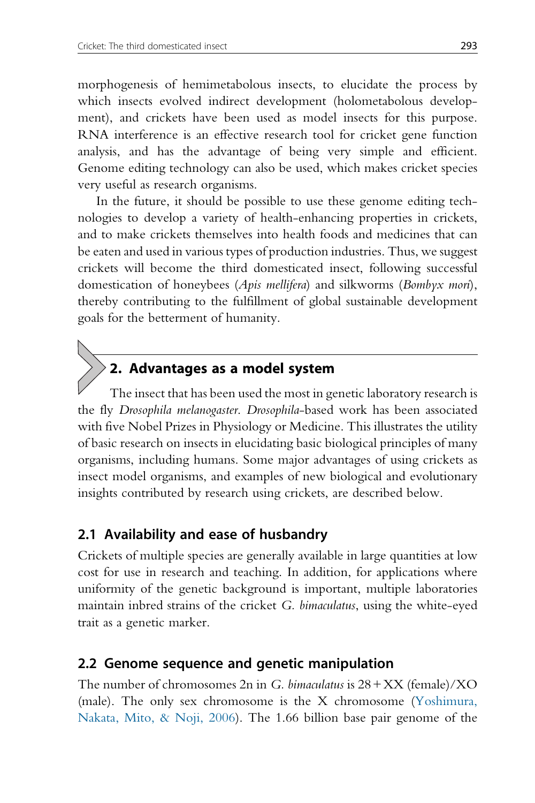morphogenesis of hemimetabolous insects, to elucidate the process by which insects evolved indirect development (holometabolous development), and crickets have been used as model insects for this purpose. RNA interference is an effective research tool for cricket gene function analysis, and has the advantage of being very simple and efficient. Genome editing technology can also be used, which makes cricket species very useful as research organisms.

In the future, it should be possible to use these genome editing technologies to develop a variety of health-enhancing properties in crickets, and to make crickets themselves into health foods and medicines that can be eaten and used in various types of production industries. Thus, we suggest crickets will become the third domesticated insect, following successful domestication of honeybees (Apis mellifera) and silkworms (Bombyx mori), thereby contributing to the fulfillment of global sustainable development goals for the betterment of humanity.

# 2. Advantages as a model system

The insect that has been used the most in genetic laboratory research is the fly Drosophila melanogaster. Drosophila-based work has been associated with five Nobel Prizes in Physiology or Medicine. This illustrates the utility of basic research on insects in elucidating basic biological principles of many organisms, including humans. Some major advantages of using crickets as insect model organisms, and examples of new biological and evolutionary insights contributed by research using crickets, are described below.

### 2.1 Availability and ease of husbandry

Crickets of multiple species are generally available in large quantities at low cost for use in research and teaching. In addition, for applications where uniformity of the genetic background is important, multiple laboratories maintain inbred strains of the cricket G. bimaculatus, using the white-eyed trait as a genetic marker.

#### 2.2 Genome sequence and genetic manipulation

The number of chromosomes 2n in G. bimaculatus is  $28 + XX$  (female)/XO (male). The only sex chromosome is the X chromosome (Yoshimura, Nakata, Mito,  $\&$  Noji, 2006). The 1.66 billion base pair genome of the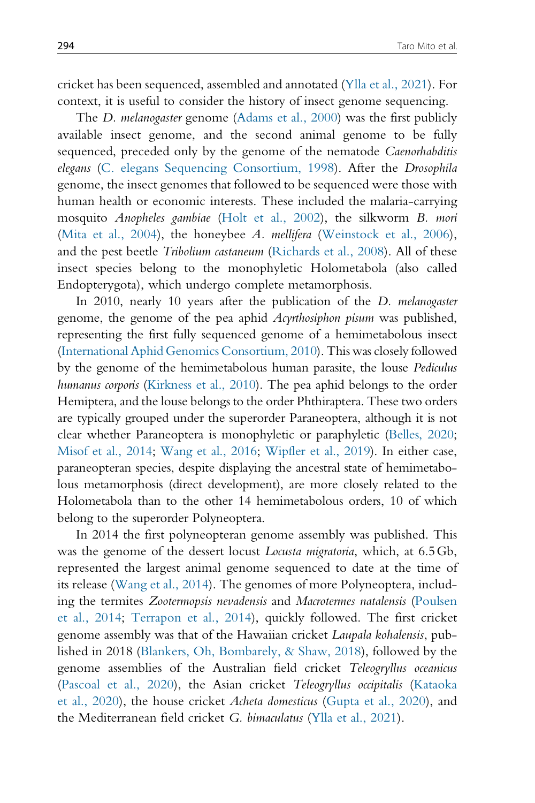cricket has been sequenced, assembled and annotated (Ylla et al., 2021). For context, it is useful to consider the history of insect genome sequencing.

The D. melanogaster genome (Adams et al., 2000) was the first publicly available insect genome, and the second animal genome to be fully sequenced, preceded only by the genome of the nematode *Caenorhabditis* elegans (C. elegans Sequencing Consortium, 1998). After the Drosophila genome, the insect genomes that followed to be sequenced were those with human health or economic interests. These included the malaria-carrying mosquito Anopheles gambiae (Holt et al., 2002), the silkworm B. mori (Mita et al., 2004), the honeybee A. mellifera (Weinstock et al., 2006), and the pest beetle Tribolium castaneum (Richards et al., 2008). All of these insect species belong to the monophyletic Holometabola (also called Endopterygota), which undergo complete metamorphosis.

In 2010, nearly 10 years after the publication of the D. melanogaster genome, the genome of the pea aphid Acyrthosiphon pisum was published, representing the first fully sequenced genome of a hemimetabolous insect (International Aphid Genomics Consortium, 2010). This was closely followed by the genome of the hemimetabolous human parasite, the louse Pediculus humanus corporis (Kirkness et al., 2010). The pea aphid belongs to the order Hemiptera, and the louse belongs to the order Phthiraptera. These two orders are typically grouped under the superorder Paraneoptera, although it is not clear whether Paraneoptera is monophyletic or paraphyletic (Belles, 2020; Misof et al., 2014; Wang et al., 2016; Wipfler et al., 2019). In either case, paraneopteran species, despite displaying the ancestral state of hemimetabolous metamorphosis (direct development), are more closely related to the Holometabola than to the other 14 hemimetabolous orders, 10 of which belong to the superorder Polyneoptera.

In 2014 the first polyneopteran genome assembly was published. This was the genome of the dessert locust Locusta migratoria, which, at 6.5Gb, represented the largest animal genome sequenced to date at the time of its release (Wang et al., 2014). The genomes of more Polyneoptera, including the termites Zootermopsis nevadensis and Macrotermes natalensis (Poulsen et al., 2014; Terrapon et al., 2014), quickly followed. The first cricket genome assembly was that of the Hawaiian cricket Laupala kohalensis, published in 2018 (Blankers, Oh, Bombarely, & Shaw, 2018), followed by the genome assemblies of the Australian field cricket Teleogryllus oceanicus (Pascoal et al., 2020), the Asian cricket Teleogryllus occipitalis (Kataoka et al., 2020), the house cricket Acheta domesticus (Gupta et al., 2020), and the Mediterranean field cricket G. bimaculatus (Ylla et al., 2021).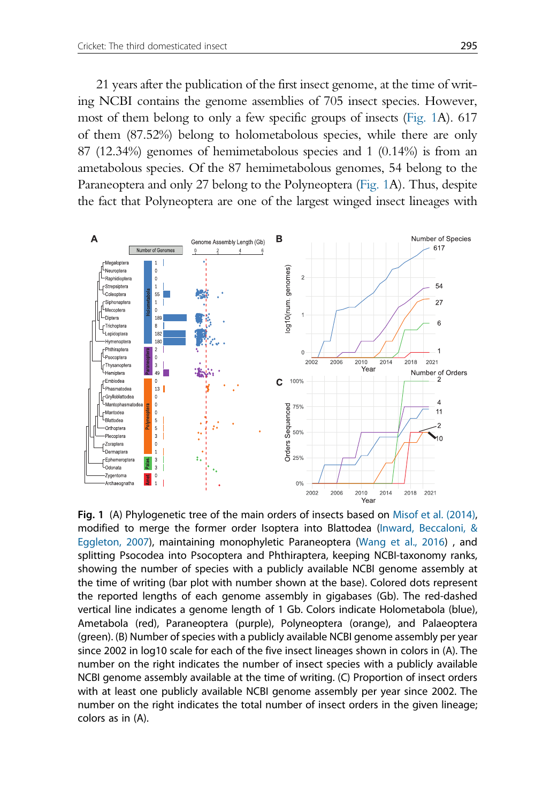21 years after the publication of the first insect genome, at the time of writing NCBI contains the genome assemblies of 705 insect species. However, most of them belong to only a few specific groups of insects (Fig. 1A). 617 of them (87.52%) belong to holometabolous species, while there are only 87 (12.34%) genomes of hemimetabolous species and 1 (0.14%) is from an ametabolous species. Of the 87 hemimetabolous genomes, 54 belong to the Paraneoptera and only 27 belong to the Polyneoptera (Fig. 1A). Thus, despite the fact that Polyneoptera are one of the largest winged insect lineages with



Fig. 1 (A) Phylogenetic tree of the main orders of insects based on Misof et al. (2014), modified to merge the former order Isoptera into Blattodea (Inward, Beccaloni, & Eggleton, 2007), maintaining monophyletic Paraneoptera (Wang et al., 2016) , and splitting Psocodea into Psocoptera and Phthiraptera, keeping NCBI-taxonomy ranks, showing the number of species with a publicly available NCBI genome assembly at the time of writing (bar plot with number shown at the base). Colored dots represent the reported lengths of each genome assembly in gigabases (Gb). The red-dashed vertical line indicates a genome length of 1 Gb. Colors indicate Holometabola (blue), Ametabola (red), Paraneoptera (purple), Polyneoptera (orange), and Palaeoptera (green). (B) Number of species with a publicly available NCBI genome assembly per year since 2002 in log10 scale for each of the five insect lineages shown in colors in (A). The number on the right indicates the number of insect species with a publicly available NCBI genome assembly available at the time of writing. (C) Proportion of insect orders with at least one publicly available NCBI genome assembly per year since 2002. The number on the right indicates the total number of insect orders in the given lineage; colors as in (A).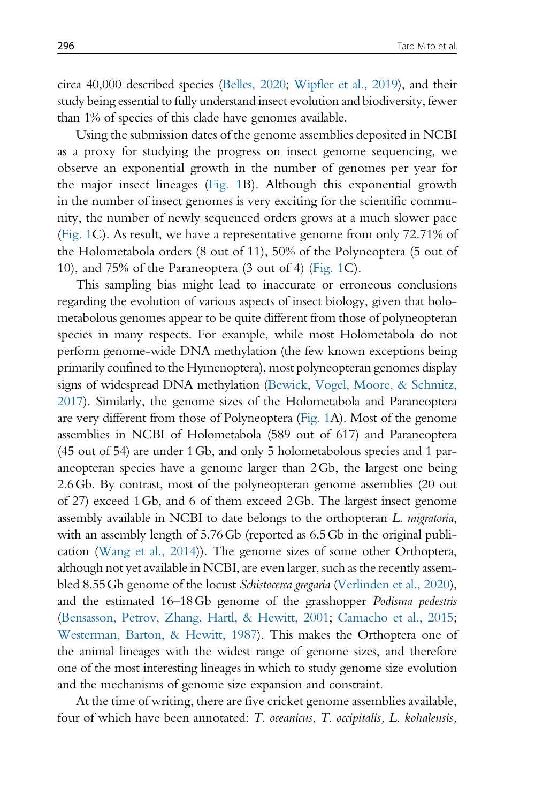circa 40,000 described species (Belles, 2020; Wipfler et al., 2019), and their study being essential to fully understand insect evolution and biodiversity, fewer than 1% of species of this clade have genomes available.

Using the submission dates of the genome assemblies deposited in NCBI as a proxy for studying the progress on insect genome sequencing, we observe an exponential growth in the number of genomes per year for the major insect lineages (Fig. 1B). Although this exponential growth in the number of insect genomes is very exciting for the scientific community, the number of newly sequenced orders grows at a much slower pace (Fig. 1C). As result, we have a representative genome from only 72.71% of the Holometabola orders (8 out of 11), 50% of the Polyneoptera (5 out of 10), and 75% of the Paraneoptera (3 out of 4) (Fig. 1C).

This sampling bias might lead to inaccurate or erroneous conclusions regarding the evolution of various aspects of insect biology, given that holometabolous genomes appear to be quite different from those of polyneopteran species in many respects. For example, while most Holometabola do not perform genome-wide DNA methylation (the few known exceptions being primarily confined to the Hymenoptera), most polyneopteran genomes display signs of widespread DNA methylation (Bewick, Vogel, Moore, & Schmitz, 2017). Similarly, the genome sizes of the Holometabola and Paraneoptera are very different from those of Polyneoptera (Fig. 1A). Most of the genome assemblies in NCBI of Holometabola (589 out of 617) and Paraneoptera (45 out of 54) are under 1Gb, and only 5 holometabolous species and 1 paraneopteran species have a genome larger than 2Gb, the largest one being 2.6Gb. By contrast, most of the polyneopteran genome assemblies (20 out of 27) exceed 1Gb, and 6 of them exceed 2Gb. The largest insect genome assembly available in NCBI to date belongs to the orthopteran L. migratoria, with an assembly length of 5.76 Gb (reported as 6.5 Gb in the original publication (Wang et al., 2014)). The genome sizes of some other Orthoptera, although not yet available in NCBI, are even larger, such as the recently assembled 8.55Gb genome of the locust Schistocerca gregaria (Verlinden et al., 2020), and the estimated 16–18Gb genome of the grasshopper Podisma pedestris (Bensasson, Petrov, Zhang, Hartl, & Hewitt, 2001; Camacho et al., 2015; Westerman, Barton, & Hewitt, 1987). This makes the Orthoptera one of the animal lineages with the widest range of genome sizes, and therefore one of the most interesting lineages in which to study genome size evolution and the mechanisms of genome size expansion and constraint.

At the time of writing, there are five cricket genome assemblies available, four of which have been annotated: T. oceanicus, T. occipitalis, L. kohalensis,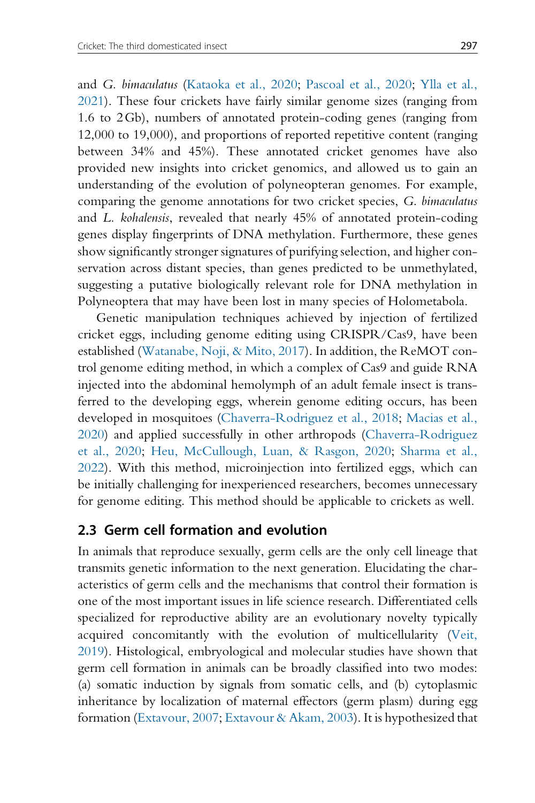and G. bimaculatus (Kataoka et al., 2020; Pascoal et al., 2020; Ylla et al., 2021). These four crickets have fairly similar genome sizes (ranging from 1.6 to 2Gb), numbers of annotated protein-coding genes (ranging from 12,000 to 19,000), and proportions of reported repetitive content (ranging between 34% and 45%). These annotated cricket genomes have also provided new insights into cricket genomics, and allowed us to gain an understanding of the evolution of polyneopteran genomes. For example, comparing the genome annotations for two cricket species, G. bimaculatus and L. kohalensis, revealed that nearly 45% of annotated protein-coding genes display fingerprints of DNA methylation. Furthermore, these genes show significantly stronger signatures of purifying selection, and higher conservation across distant species, than genes predicted to be unmethylated, suggesting a putative biologically relevant role for DNA methylation in Polyneoptera that may have been lost in many species of Holometabola.

Genetic manipulation techniques achieved by injection of fertilized cricket eggs, including genome editing using CRISPR/Cas9, have been established (Watanabe, Noji, & Mito, 2017). In addition, the ReMOT control genome editing method, in which a complex of Cas9 and guide RNA injected into the abdominal hemolymph of an adult female insect is transferred to the developing eggs, wherein genome editing occurs, has been developed in mosquitoes (Chaverra-Rodriguez et al., 2018; Macias et al., 2020) and applied successfully in other arthropods (Chaverra-Rodriguez et al., 2020; Heu, McCullough, Luan, & Rasgon, 2020; Sharma et al., 2022). With this method, microinjection into fertilized eggs, which can be initially challenging for inexperienced researchers, becomes unnecessary for genome editing. This method should be applicable to crickets as well.

#### 2.3 Germ cell formation and evolution

In animals that reproduce sexually, germ cells are the only cell lineage that transmits genetic information to the next generation. Elucidating the characteristics of germ cells and the mechanisms that control their formation is one of the most important issues in life science research. Differentiated cells specialized for reproductive ability are an evolutionary novelty typically acquired concomitantly with the evolution of multicellularity (Veit, 2019). Histological, embryological and molecular studies have shown that germ cell formation in animals can be broadly classified into two modes: (a) somatic induction by signals from somatic cells, and (b) cytoplasmic inheritance by localization of maternal effectors (germ plasm) during egg formation (Extavour, 2007; Extavour & Akam, 2003). It is hypothesized that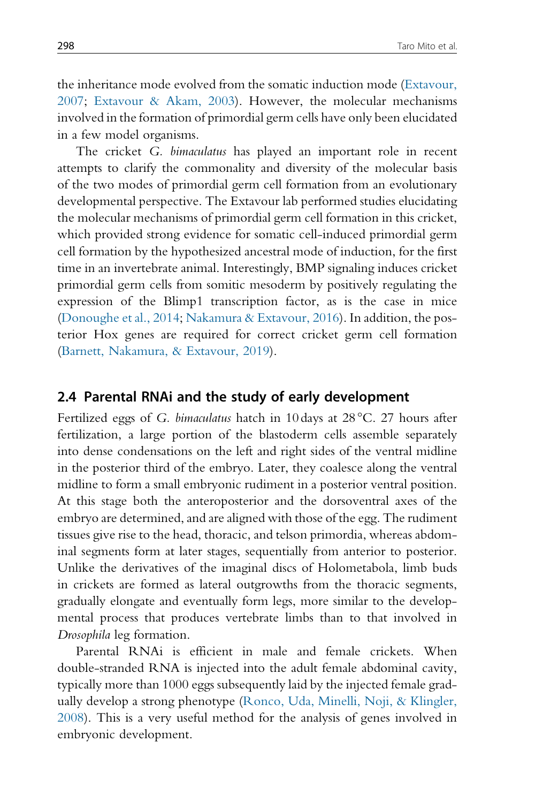the inheritance mode evolved from the somatic induction mode (Extavour, 2007; Extavour & Akam, 2003). However, the molecular mechanisms involved in the formation of primordial germ cells have only been elucidated in a few model organisms.

The cricket G. bimaculatus has played an important role in recent attempts to clarify the commonality and diversity of the molecular basis of the two modes of primordial germ cell formation from an evolutionary developmental perspective. The Extavour lab performed studies elucidating the molecular mechanisms of primordial germ cell formation in this cricket, which provided strong evidence for somatic cell-induced primordial germ cell formation by the hypothesized ancestral mode of induction, for the first time in an invertebrate animal. Interestingly, BMP signaling induces cricket primordial germ cells from somitic mesoderm by positively regulating the expression of the Blimp1 transcription factor, as is the case in mice (Donoughe et al., 2014; Nakamura & Extavour, 2016). In addition, the posterior Hox genes are required for correct cricket germ cell formation (Barnett, Nakamura, & Extavour, 2019).

#### 2.4 Parental RNAi and the study of early development

Fertilized eggs of G. bimaculatus hatch in 10 days at 28°C. 27 hours after fertilization, a large portion of the blastoderm cells assemble separately into dense condensations on the left and right sides of the ventral midline in the posterior third of the embryo. Later, they coalesce along the ventral midline to form a small embryonic rudiment in a posterior ventral position. At this stage both the anteroposterior and the dorsoventral axes of the embryo are determined, and are aligned with those of the egg. The rudiment tissues give rise to the head, thoracic, and telson primordia, whereas abdominal segments form at later stages, sequentially from anterior to posterior. Unlike the derivatives of the imaginal discs of Holometabola, limb buds in crickets are formed as lateral outgrowths from the thoracic segments, gradually elongate and eventually form legs, more similar to the developmental process that produces vertebrate limbs than to that involved in Drosophila leg formation.

Parental RNAi is efficient in male and female crickets. When double-stranded RNA is injected into the adult female abdominal cavity, typically more than 1000 eggs subsequently laid by the injected female gradually develop a strong phenotype (Ronco, Uda, Minelli, Noji, & Klingler, 2008). This is a very useful method for the analysis of genes involved in embryonic development.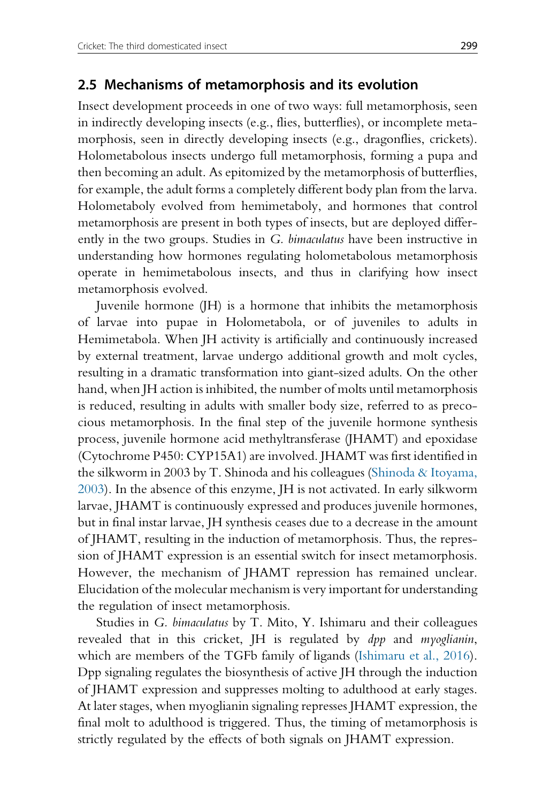#### 2.5 Mechanisms of metamorphosis and its evolution

Insect development proceeds in one of two ways: full metamorphosis, seen in indirectly developing insects (e.g., flies, butterflies), or incomplete metamorphosis, seen in directly developing insects (e.g., dragonflies, crickets). Holometabolous insects undergo full metamorphosis, forming a pupa and then becoming an adult. As epitomized by the metamorphosis of butterflies, for example, the adult forms a completely different body plan from the larva. Holometaboly evolved from hemimetaboly, and hormones that control metamorphosis are present in both types of insects, but are deployed differently in the two groups. Studies in G. bimaculatus have been instructive in understanding how hormones regulating holometabolous metamorphosis operate in hemimetabolous insects, and thus in clarifying how insect metamorphosis evolved.

Juvenile hormone (JH) is a hormone that inhibits the metamorphosis of larvae into pupae in Holometabola, or of juveniles to adults in Hemimetabola. When JH activity is artificially and continuously increased by external treatment, larvae undergo additional growth and molt cycles, resulting in a dramatic transformation into giant-sized adults. On the other hand, when JH action is inhibited, the number of molts until metamorphosis is reduced, resulting in adults with smaller body size, referred to as precocious metamorphosis. In the final step of the juvenile hormone synthesis process, juvenile hormone acid methyltransferase (JHAMT) and epoxidase (Cytochrome P450: CYP15A1) are involved. JHAMT was first identified in the silkworm in 2003 by T. Shinoda and his colleagues (Shinoda & Itoyama, 2003). In the absence of this enzyme, JH is not activated. In early silkworm larvae, JHAMT is continuously expressed and produces juvenile hormones, but in final instar larvae, JH synthesis ceases due to a decrease in the amount of JHAMT, resulting in the induction of metamorphosis. Thus, the repression of JHAMT expression is an essential switch for insect metamorphosis. However, the mechanism of JHAMT repression has remained unclear. Elucidation of the molecular mechanism is very important for understanding the regulation of insect metamorphosis.

Studies in G. bimaculatus by T. Mito, Y. Ishimaru and their colleagues revealed that in this cricket, JH is regulated by *dpp* and *myoglianin*, which are members of the TGFb family of ligands (Ishimaru et al., 2016). Dpp signaling regulates the biosynthesis of active JH through the induction of JHAMT expression and suppresses molting to adulthood at early stages. At later stages, when myoglianin signaling represses JHAMT expression, the final molt to adulthood is triggered. Thus, the timing of metamorphosis is strictly regulated by the effects of both signals on JHAMT expression.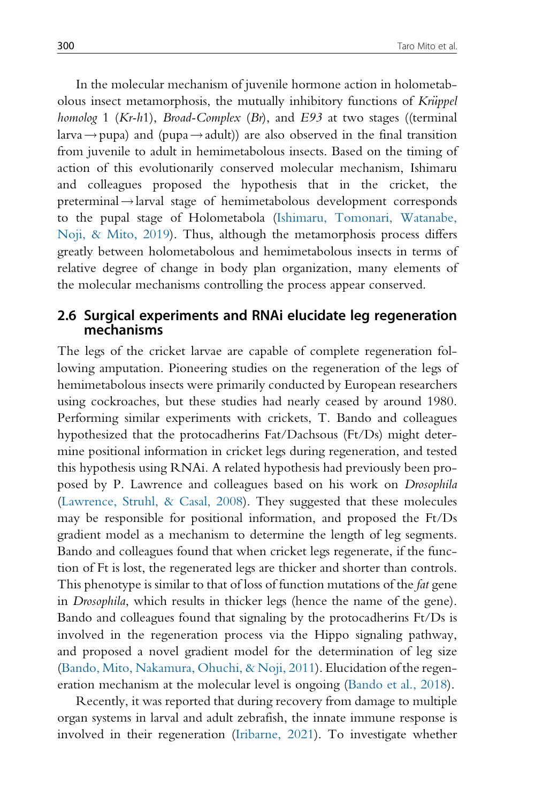In the molecular mechanism of juvenile hormone action in holometabolous insect metamorphosis, the mutually inhibitory functions of Krüppel homolog 1 (Kr-h1), Broad-Complex (Br), and E93 at two stages ((terminal larva  $\rightarrow$  pupa) and (pupa  $\rightarrow$  adult)) are also observed in the final transition from juvenile to adult in hemimetabolous insects. Based on the timing of action of this evolutionarily conserved molecular mechanism, Ishimaru and colleagues proposed the hypothesis that in the cricket, the  $preterminal \rightarrow$  larval stage of hemimetabolous development corresponds to the pupal stage of Holometabola (Ishimaru, Tomonari, Watanabe, Noji, & Mito, 2019). Thus, although the metamorphosis process differs greatly between holometabolous and hemimetabolous insects in terms of relative degree of change in body plan organization, many elements of the molecular mechanisms controlling the process appear conserved.

#### 2.6 Surgical experiments and RNAi elucidate leg regeneration mechanisms

The legs of the cricket larvae are capable of complete regeneration following amputation. Pioneering studies on the regeneration of the legs of hemimetabolous insects were primarily conducted by European researchers using cockroaches, but these studies had nearly ceased by around 1980. Performing similar experiments with crickets, T. Bando and colleagues hypothesized that the protocadherins Fat/Dachsous (Ft/Ds) might determine positional information in cricket legs during regeneration, and tested this hypothesis using RNAi. A related hypothesis had previously been proposed by P. Lawrence and colleagues based on his work on Drosophila (Lawrence, Struhl, & Casal, 2008). They suggested that these molecules may be responsible for positional information, and proposed the Ft/Ds gradient model as a mechanism to determine the length of leg segments. Bando and colleagues found that when cricket legs regenerate, if the function of Ft is lost, the regenerated legs are thicker and shorter than controls. This phenotype is similar to that of loss of function mutations of the *fat* gene in Drosophila, which results in thicker legs (hence the name of the gene). Bando and colleagues found that signaling by the protocadherins Ft/Ds is involved in the regeneration process via the Hippo signaling pathway, and proposed a novel gradient model for the determination of leg size (Bando, Mito, Nakamura, Ohuchi, & Noji, 2011). Elucidation of the regeneration mechanism at the molecular level is ongoing (Bando et al., 2018).

Recently, it was reported that during recovery from damage to multiple organ systems in larval and adult zebrafish, the innate immune response is involved in their regeneration (Iribarne, 2021). To investigate whether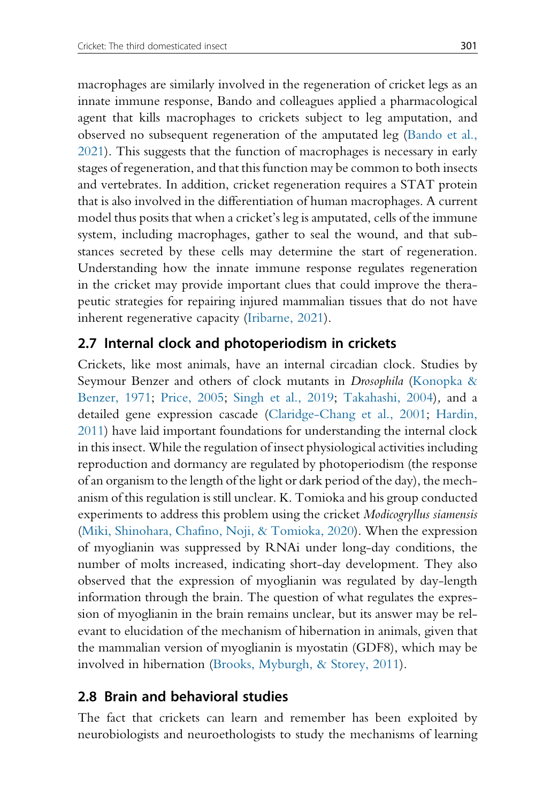macrophages are similarly involved in the regeneration of cricket legs as an innate immune response, Bando and colleagues applied a pharmacological agent that kills macrophages to crickets subject to leg amputation, and observed no subsequent regeneration of the amputated leg (Bando et al., 2021). This suggests that the function of macrophages is necessary in early stages of regeneration, and that this function may be common to both insects and vertebrates. In addition, cricket regeneration requires a STAT protein that is also involved in the differentiation of human macrophages. A current model thus posits that when a cricket's leg is amputated, cells of the immune system, including macrophages, gather to seal the wound, and that substances secreted by these cells may determine the start of regeneration. Understanding how the innate immune response regulates regeneration in the cricket may provide important clues that could improve the therapeutic strategies for repairing injured mammalian tissues that do not have inherent regenerative capacity (Iribarne, 2021).

# 2.7 Internal clock and photoperiodism in crickets

Crickets, like most animals, have an internal circadian clock. Studies by Seymour Benzer and others of clock mutants in Drosophila (Konopka & Benzer, 1971; Price, 2005; Singh et al., 2019; Takahashi, 2004), and a detailed gene expression cascade (Claridge-Chang et al., 2001; Hardin, 2011) have laid important foundations for understanding the internal clock in this insect. While the regulation of insect physiological activities including reproduction and dormancy are regulated by photoperiodism (the response of an organism to the length of the light or dark period of the day), the mechanism of this regulation is still unclear. K. Tomioka and his group conducted experiments to address this problem using the cricket Modicogryllus siamensis (Miki, Shinohara, Chafino, Noji, & Tomioka, 2020). When the expression of myoglianin was suppressed by RNAi under long-day conditions, the number of molts increased, indicating short-day development. They also observed that the expression of myoglianin was regulated by day-length information through the brain. The question of what regulates the expression of myoglianin in the brain remains unclear, but its answer may be relevant to elucidation of the mechanism of hibernation in animals, given that the mammalian version of myoglianin is myostatin (GDF8), which may be involved in hibernation (Brooks, Myburgh, & Storey, 2011).

# 2.8 Brain and behavioral studies

The fact that crickets can learn and remember has been exploited by neurobiologists and neuroethologists to study the mechanisms of learning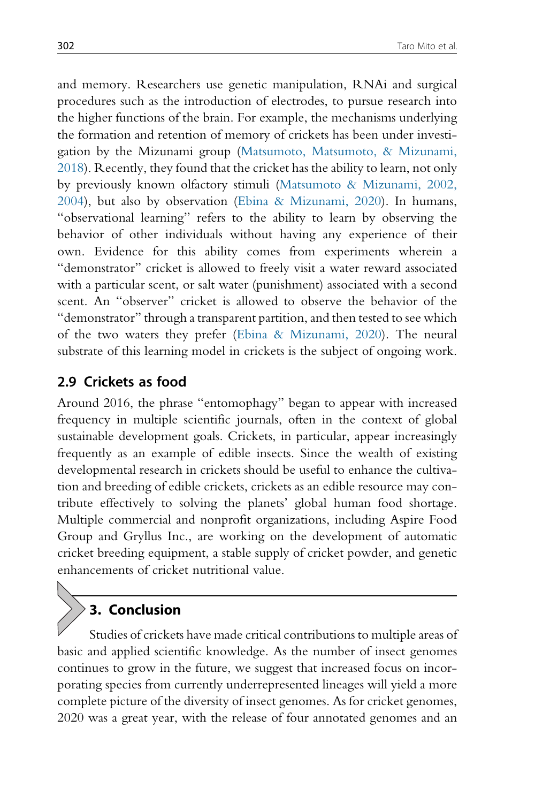and memory. Researchers use genetic manipulation, RNAi and surgical procedures such as the introduction of electrodes, to pursue research into the higher functions of the brain. For example, the mechanisms underlying the formation and retention of memory of crickets has been under investigation by the Mizunami group (Matsumoto, Matsumoto, & Mizunami, 2018). Recently, they found that the cricket has the ability to learn, not only by previously known olfactory stimuli (Matsumoto & Mizunami, 2002, 2004), but also by observation (Ebina & Mizunami, 2020). In humans, "observational learning" refers to the ability to learn by observing the behavior of other individuals without having any experience of their own. Evidence for this ability comes from experiments wherein a "demonstrator" cricket is allowed to freely visit a water reward associated with a particular scent, or salt water (punishment) associated with a second scent. An "observer" cricket is allowed to observe the behavior of the "demonstrator" through a transparent partition, and then tested to see which of the two waters they prefer (Ebina & Mizunami, 2020). The neural substrate of this learning model in crickets is the subject of ongoing work.

#### 2.9 Crickets as food

Around 2016, the phrase "entomophagy" began to appear with increased frequency in multiple scientific journals, often in the context of global sustainable development goals. Crickets, in particular, appear increasingly frequently as an example of edible insects. Since the wealth of existing developmental research in crickets should be useful to enhance the cultivation and breeding of edible crickets, crickets as an edible resource may contribute effectively to solving the planets' global human food shortage. Multiple commercial and nonprofit organizations, including Aspire Food Group and Gryllus Inc., are working on the development of automatic cricket breeding equipment, a stable supply of cricket powder, and genetic enhancements of cricket nutritional value.

# 3. Conclusion

Studies of crickets have made critical contributions to multiple areas of basic and applied scientific knowledge. As the number of insect genomes continues to grow in the future, we suggest that increased focus on incorporating species from currently underrepresented lineages will yield a more complete picture of the diversity of insect genomes. As for cricket genomes, 2020 was a great year, with the release of four annotated genomes and an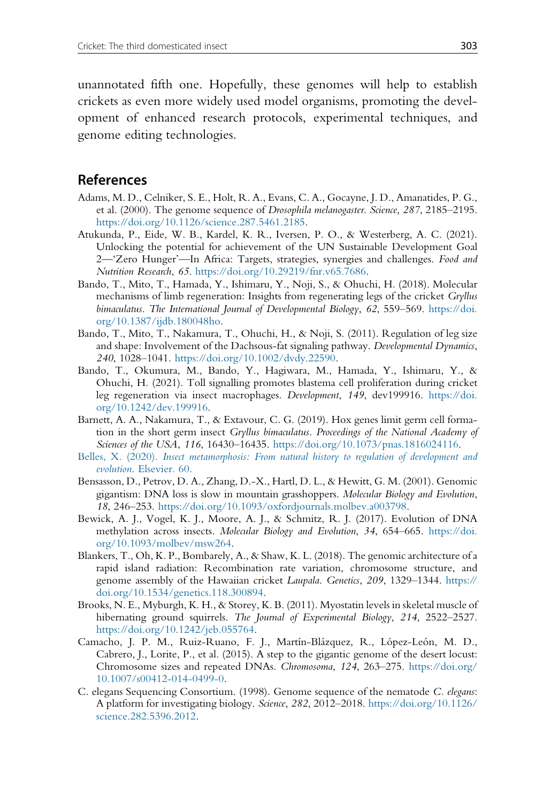unannotated fifth one. Hopefully, these genomes will help to establish crickets as even more widely used model organisms, promoting the development of enhanced research protocols, experimental techniques, and genome editing technologies.

#### References

- Adams, M. D., Celniker, S. E., Holt, R. A., Evans, C. A., Gocayne, J. D., Amanatides, P. G., et al. (2000). The genome sequence of Drosophila melanogaster. Science, 287, 2185–2195. <https://doi.org/10.1126/science.287.5461.2185>.
- Atukunda, P., Eide, W. B., Kardel, K. R., Iversen, P. O., & Westerberg, A. C. (2021). Unlocking the potential for achievement of the UN Sustainable Development Goal 2—'Zero Hunger'—In Africa: Targets, strategies, synergies and challenges. Food and Nutrition Research, 65. [https://doi.org/10.29219/fnr.v65.7686.](https://doi.org/10.29219/fnr.v65.7686)
- Bando, T., Mito, T., Hamada, Y., Ishimaru, Y., Noji, S., & Ohuchi, H. (2018). Molecular mechanisms of limb regeneration: Insights from regenerating legs of the cricket Gryllus bimaculatus. The International Journal of Developmental Biology, 62, 559–569. [https://doi.](https://doi.org/10.1387/ijdb.180048ho) [org/10.1387/ijdb.180048ho](https://doi.org/10.1387/ijdb.180048ho).
- Bando, T., Mito, T., Nakamura, T., Ohuchi, H., & Noji, S. (2011). Regulation of leg size and shape: Involvement of the Dachsous-fat signaling pathway. Developmental Dynamics, 240, 1028–1041. <https://doi.org/10.1002/dvdy.22590>.
- Bando, T., Okumura, M., Bando, Y., Hagiwara, M., Hamada, Y., Ishimaru, Y., & Ohuchi, H. (2021). Toll signalling promotes blastema cell proliferation during cricket leg regeneration via insect macrophages. Development, 149, dev199916. [https://doi.](https://doi.org/10.1242/dev.199916) [org/10.1242/dev.199916.](https://doi.org/10.1242/dev.199916)
- Barnett, A. A., Nakamura, T., & Extavour, C. G. (2019). Hox genes limit germ cell formation in the short germ insect Gryllus bimaculatus. Proceedings of the National Academy of Sciences of the USA, 116, 16430–16435. <https://doi.org/10.1073/pnas.1816024116>.
- Belles, X. (2020). [Insect metamorphosis: From natural history to regulation of development and](http://refhub.elsevier.com/S0070-2153(22)00009-6/rf0035) evolution[. Elsevier. 60.](http://refhub.elsevier.com/S0070-2153(22)00009-6/rf0035)
- Bensasson, D., Petrov, D. A., Zhang, D.-X., Hartl, D. L., & Hewitt, G. M. (2001). Genomic gigantism: DNA loss is slow in mountain grasshoppers. Molecular Biology and Evolution, 18, 246–253. <https://doi.org/10.1093/oxfordjournals.molbev.a003798>.
- Bewick, A. J., Vogel, K. J., Moore, A. J., & Schmitz, R. J. (2017). Evolution of DNA methylation across insects. Molecular Biology and Evolution, 34, 654–665. [https://doi.](https://doi.org/10.1093/molbev/msw264) [org/10.1093/molbev/msw264.](https://doi.org/10.1093/molbev/msw264)
- Blankers, T., Oh, K. P., Bombarely, A., & Shaw, K. L. (2018). The genomic architecture of a rapid island radiation: Recombination rate variation, chromosome structure, and genome assembly of the Hawaiian cricket Laupala. Genetics, 209, 1329-1344. [https://](https://doi.org/10.1534/genetics.118.300894) [doi.org/10.1534/genetics.118.300894.](https://doi.org/10.1534/genetics.118.300894)
- Brooks, N. E., Myburgh, K. H., & Storey, K. B. (2011). Myostatin levels in skeletal muscle of hibernating ground squirrels. The Journal of Experimental Biology, 214, 2522–2527. <https://doi.org/10.1242/jeb.055764>.
- Camacho, J. P. M., Ruiz-Ruano, F. J., Martín-Blázquez, R., López-León, M. D., Cabrero, J., Lorite, P., et al. (2015). A step to the gigantic genome of the desert locust: Chromosome sizes and repeated DNAs. Chromosoma, 124, 263–275. [https://doi.org/](https://doi.org/10.1007/s00412-014-0499-0) [10.1007/s00412-014-0499-0.](https://doi.org/10.1007/s00412-014-0499-0)
- C. elegans Sequencing Consortium. (1998). Genome sequence of the nematode C. elegans: A platform for investigating biology. Science, 282, 2012–2018. [https://doi.org/10.1126/](https://doi.org/10.1126/science.282.5396.2012) [science.282.5396.2012](https://doi.org/10.1126/science.282.5396.2012).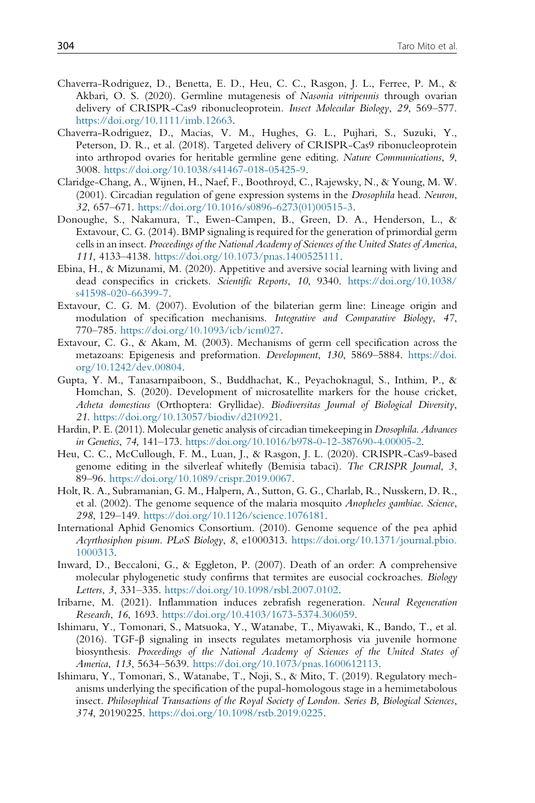- Chaverra-Rodriguez, D., Benetta, E. D., Heu, C. C., Rasgon, J. L., Ferree, P. M., & Akbari, O. S. (2020). Germline mutagenesis of Nasonia vitripennis through ovarian delivery of CRISPR-Cas9 ribonucleoprotein. Insect Molecular Biology, 29, 569–577. [https://doi.org/10.1111/imb.12663.](https://doi.org/10.1111/imb.12663)
- Chaverra-Rodriguez, D., Macias, V. M., Hughes, G. L., Pujhari, S., Suzuki, Y., Peterson, D. R., et al. (2018). Targeted delivery of CRISPR-Cas9 ribonucleoprotein into arthropod ovaries for heritable germline gene editing. Nature Communications, 9, 3008. [https://doi.org/10.1038/s41467-018-05425-9.](https://doi.org/10.1038/s41467-018-05425-9)
- Claridge-Chang, A., Wijnen, H., Naef, F., Boothroyd, C., Rajewsky, N., & Young, M. W. (2001). Circadian regulation of gene expression systems in the Drosophila head. Neuron, 32, 657–671. [https://doi.org/10.1016/s0896-6273\(01\)00515-3.](https://doi.org/10.1016/s0896-6273(01)00515-3)
- Donoughe, S., Nakamura, T., Ewen-Campen, B., Green, D. A., Henderson, L., & Extavour, C. G. (2014). BMP signaling is required for the generation of primordial germ cells in an insect. Proceedings of the National Academy of Sciences of the United States of America, 111, 4133–4138. [https://doi.org/10.1073/pnas.1400525111.](https://doi.org/10.1073/pnas.1400525111)
- Ebina, H., & Mizunami, M. (2020). Appetitive and aversive social learning with living and dead conspecifics in crickets. Scientific Reports, 10, 9340. [https://doi.org/10.1038/](https://doi.org/10.1038/s41598-020-66399-7) [s41598-020-66399-7](https://doi.org/10.1038/s41598-020-66399-7).
- Extavour, C. G. M. (2007). Evolution of the bilaterian germ line: Lineage origin and modulation of specification mechanisms. Integrative and Comparative Biology, 47, 770–785. <https://doi.org/10.1093/icb/icm027>.
- Extavour, C. G., & Akam, M. (2003). Mechanisms of germ cell specification across the metazoans: Epigenesis and preformation. Development, 130, 5869–5884. [https://doi.](https://doi.org/10.1242/dev.00804) [org/10.1242/dev.00804](https://doi.org/10.1242/dev.00804).
- Gupta, Y. M., Tanasarnpaiboon, S., Buddhachat, K., Peyachoknagul, S., Inthim, P., & Homchan, S. (2020). Development of microsatellite markers for the house cricket, Acheta domesticus (Orthoptera: Gryllidae). Biodiversitas Journal of Biological Diversity, 21. [https://doi.org/10.13057/biodiv/d210921.](https://doi.org/10.13057/biodiv/d210921)
- Hardin, P. E. (2011). Molecular genetic analysis of circadian timekeeping in Drosophila. Advances in Genetics, 74, 141–173. <https://doi.org/10.1016/b978-0-12-387690-4.00005-2>.
- Heu, C. C., McCullough, F. M., Luan, J., & Rasgon, J. L. (2020). CRISPR-Cas9-based genome editing in the silverleaf whitefly (Bemisia tabaci). The CRISPR Journal, 3, 89–96. [https://doi.org/10.1089/crispr.2019.0067.](https://doi.org/10.1089/crispr.2019.0067)
- Holt, R. A., Subramanian, G. M., Halpern, A., Sutton, G. G., Charlab, R., Nusskern, D. R., et al. (2002). The genome sequence of the malaria mosquito Anopheles gambiae. Science, 298, 129–149. <https://doi.org/10.1126/science.1076181>.
- International Aphid Genomics Consortium. (2010). Genome sequence of the pea aphid Acyrthosiphon pisum. PLoS Biology, 8, e1000313. [https://doi.org/10.1371/journal.pbio.](https://doi.org/10.1371/journal.pbio.1000313) [1000313](https://doi.org/10.1371/journal.pbio.1000313).
- Inward, D., Beccaloni, G., & Eggleton, P. (2007). Death of an order: A comprehensive molecular phylogenetic study confirms that termites are eusocial cockroaches. Biology Letters, 3, 331–335. <https://doi.org/10.1098/rsbl.2007.0102>.
- Iribarne, M. (2021). Inflammation induces zebrafish regeneration. Neural Regeneration Research, 16, 1693. <https://doi.org/10.4103/1673-5374.306059>.
- Ishimaru, Y., Tomonari, S., Matsuoka, Y., Watanabe, T., Miyawaki, K., Bando, T., et al. (2016). TGF-β signaling in insects regulates metamorphosis via juvenile hormone biosynthesis. Proceedings of the National Academy of Sciences of the United States of America, 113, 5634–5639. [https://doi.org/10.1073/pnas.1600612113.](https://doi.org/10.1073/pnas.1600612113)
- Ishimaru, Y., Tomonari, S., Watanabe, T., Noji, S., & Mito, T. (2019). Regulatory mechanisms underlying the specification of the pupal-homologous stage in a hemimetabolous insect. Philosophical Transactions of the Royal Society of London. Series B, Biological Sciences, 374, 20190225. [https://doi.org/10.1098/rstb.2019.0225.](https://doi.org/10.1098/rstb.2019.0225)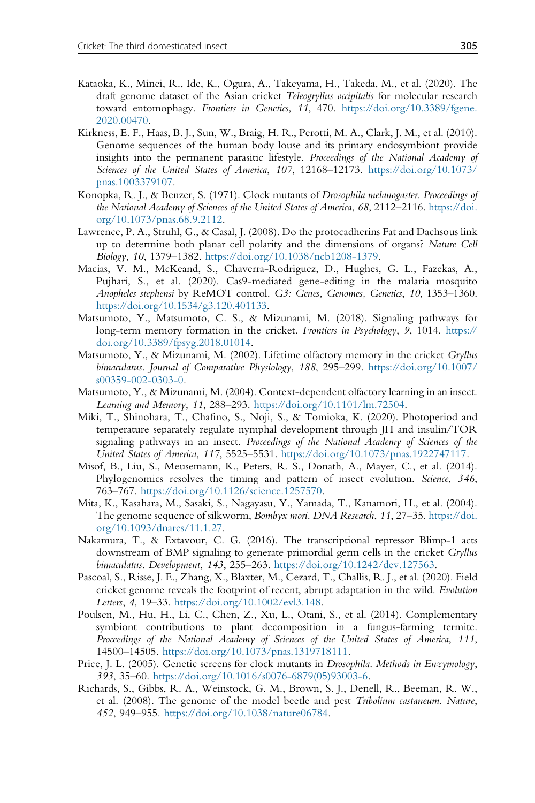- Kataoka, K., Minei, R., Ide, K., Ogura, A., Takeyama, H., Takeda, M., et al. (2020). The draft genome dataset of the Asian cricket Teleogryllus occipitalis for molecular research toward entomophagy. Frontiers in Genetics, 11, 470. [https://doi.org/10.3389/fgene.](https://doi.org/10.3389/fgene.2020.00470) [2020.00470.](https://doi.org/10.3389/fgene.2020.00470)
- Kirkness, E. F., Haas, B. J., Sun, W., Braig, H. R., Perotti, M. A., Clark, J. M., et al. (2010). Genome sequences of the human body louse and its primary endosymbiont provide insights into the permanent parasitic lifestyle. Proceedings of the National Academy of Sciences of the United States of America, 107, 12168–12173. [https://doi.org/10.1073/](https://doi.org/10.1073/pnas.1003379107) [pnas.1003379107](https://doi.org/10.1073/pnas.1003379107).
- Konopka, R. J., & Benzer, S. (1971). Clock mutants of Drosophila melanogaster. Proceedings of the National Academy of Sciences of the United States of America, 68, 2112–2116. [https://doi.](https://doi.org/10.1073/pnas.68.9.2112) [org/10.1073/pnas.68.9.2112.](https://doi.org/10.1073/pnas.68.9.2112)
- Lawrence, P. A., Struhl, G., & Casal, J. (2008). Do the protocadherins Fat and Dachsous link up to determine both planar cell polarity and the dimensions of organs? Nature Cell Biology, 10, 1379–1382. <https://doi.org/10.1038/ncb1208-1379>.
- Macias, V. M., McKeand, S., Chaverra-Rodriguez, D., Hughes, G. L., Fazekas, A., Pujhari, S., et al. (2020). Cas9-mediated gene-editing in the malaria mosquito Anopheles stephensi by ReMOT control. G3: Genes, Genomes, Genetics, 10, 1353–1360. <https://doi.org/10.1534/g3.120.401133>.
- Matsumoto, Y., Matsumoto, C. S., & Mizunami, M. (2018). Signaling pathways for long-term memory formation in the cricket. Frontiers in Psychology, 9, 1014. [https://](https://doi.org/10.3389/fpsyg.2018.01014) [doi.org/10.3389/fpsyg.2018.01014](https://doi.org/10.3389/fpsyg.2018.01014).
- Matsumoto, Y., & Mizunami, M. (2002). Lifetime olfactory memory in the cricket Gryllus bimaculatus. Journal of Comparative Physiology, 188, 295–299. [https://doi.org/10.1007/](https://doi.org/10.1007/s00359-002-0303-0) [s00359-002-0303-0](https://doi.org/10.1007/s00359-002-0303-0).
- Matsumoto, Y., & Mizunami, M. (2004). Context-dependent olfactory learning in an insect. Learning and Memory, 11, 288–293. [https://doi.org/10.1101/lm.72504.](https://doi.org/10.1101/lm.72504)
- Miki, T., Shinohara, T., Chafino, S., Noji, S., & Tomioka, K. (2020). Photoperiod and temperature separately regulate nymphal development through JH and insulin/TOR signaling pathways in an insect. Proceedings of the National Academy of Sciences of the United States of America, 117, 5525–5531. [https://doi.org/10.1073/pnas.1922747117.](https://doi.org/10.1073/pnas.1922747117)
- Misof, B., Liu, S., Meusemann, K., Peters, R. S., Donath, A., Mayer, C., et al. (2014). Phylogenomics resolves the timing and pattern of insect evolution. Science, 346, 763–767. <https://doi.org/10.1126/science.1257570>.
- Mita, K., Kasahara, M., Sasaki, S., Nagayasu, Y., Yamada, T., Kanamori, H., et al. (2004). The genome sequence of silkworm, Bombyx mori. DNA Research, 11, 27–35. [https://doi.](https://doi.org/10.1093/dnares/11.1.27) [org/10.1093/dnares/11.1.27](https://doi.org/10.1093/dnares/11.1.27).
- Nakamura, T., & Extavour, C. G. (2016). The transcriptional repressor Blimp-1 acts downstream of BMP signaling to generate primordial germ cells in the cricket Gryllus bimaculatus. Development, 143, 255–263. [https://doi.org/10.1242/dev.127563.](https://doi.org/10.1242/dev.127563)
- Pascoal, S., Risse, J. E., Zhang, X., Blaxter, M., Cezard, T., Challis, R. J., et al. (2020). Field cricket genome reveals the footprint of recent, abrupt adaptation in the wild. Evolution Letters, 4, 19–33. <https://doi.org/10.1002/evl3.148>.
- Poulsen, M., Hu, H., Li, C., Chen, Z., Xu, L., Otani, S., et al. (2014). Complementary symbiont contributions to plant decomposition in a fungus-farming termite. Proceedings of the National Academy of Sciences of the United States of America, 111, 14500–14505. [https://doi.org/10.1073/pnas.1319718111.](https://doi.org/10.1073/pnas.1319718111)
- Price, J. L. (2005). Genetic screens for clock mutants in Drosophila. Methods in Enzymology, 393, 35–60. [https://doi.org/10.1016/s0076-6879\(05\)93003-6](https://doi.org/10.1016/s0076-6879(05)93003-6).
- Richards, S., Gibbs, R. A., Weinstock, G. M., Brown, S. J., Denell, R., Beeman, R. W., et al. (2008). The genome of the model beetle and pest Tribolium castaneum. Nature, 452, 949–955. [https://doi.org/10.1038/nature06784.](https://doi.org/10.1038/nature06784)